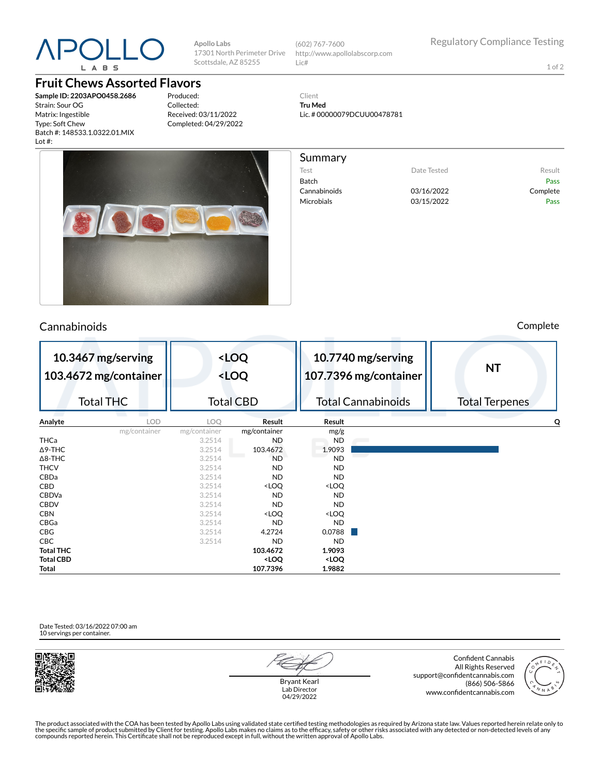

### **Fruit Chews Assorted Flavors**

**Sample ID: 2203APO0458.2686** Strain: Sour OG Matrix: Ingestible Type: Soft C Batch #: 148 Lot #:

Produced: Collected: Received: 03/11/2022 Completed: 04/29/2022

**Apollo Labs**

17301 North Perimeter Drive Scottsdale, AZ 85255

> **<LOQ <LOQ**

Total CBD



## Cannabinoids Complete

| Comp |  |
|------|--|
|      |  |
|      |  |
|      |  |



**10.3467 mg/serving 103.4672 mg/container**

Total THC

| 10.7740 mg/serving<br>107.7396 mg/container | NT                    |
|---------------------------------------------|-----------------------|
| <b>Total Cannabinoids</b>                   | <b>Total Terpenes</b> |
| Result                                      |                       |

| Analyte          | <b>LOD</b>   | LOO.         | Result                                                   | Result                       | Q |
|------------------|--------------|--------------|----------------------------------------------------------|------------------------------|---|
|                  | mg/container | mg/container | mg/container                                             | mg/g                         |   |
| THCa             |              | 3.2514       | ND                                                       | <b>ND</b>                    |   |
| $\Delta$ 9-THC   |              | 3.2514       | 103.4672                                                 | 1.9093                       |   |
| $\Delta$ 8-THC   |              | 3.2514       | <b>ND</b>                                                | <b>ND</b>                    |   |
| <b>THCV</b>      |              | 3.2514       | ND                                                       | <b>ND</b>                    |   |
| CBDa             |              | 3.2514       | ND                                                       | <b>ND</b>                    |   |
| CBD              |              | 3.2514       | <loq< td=""><td><loq< td=""><td></td></loq<></td></loq<> | <loq< td=""><td></td></loq<> |   |
| CBDVa            |              | 3.2514       | ND                                                       | <b>ND</b>                    |   |
| <b>CBDV</b>      |              | 3.2514       | ND                                                       | ND                           |   |
| <b>CBN</b>       |              | 3.2514       | <loq< td=""><td><loq< td=""><td></td></loq<></td></loq<> | <loq< td=""><td></td></loq<> |   |
| CBGa             |              | 3.2514       | ND                                                       | <b>ND</b>                    |   |
| CBG              |              | 3.2514       | 4.2724                                                   | 0.0788                       |   |
| CBC              |              | 3.2514       | <b>ND</b>                                                | <b>ND</b>                    |   |
| <b>Total THC</b> |              |              | 103.4672                                                 | 1.9093                       |   |
| <b>Total CBD</b> |              |              | <loq< td=""><td><loq< td=""><td></td></loq<></td></loq<> | <loq< td=""><td></td></loq<> |   |
| Total            |              |              | 107.7396                                                 | 1.9882                       |   |

#### Date Tested: 03/16/2022 07:00 am 10 servings per container.



Bryant Kearl Lab Director 04/29/2022

Confident Cannabis All Rights Reserved support@confidentcannabis.com (866) 506-5866 www.confidentcannabis.com



The product associated with the COA has been tested by Apollo Labs using validated state certified testing methodologies as required by Arizona state law. Values reported herein relate only to<br>the specific sample of produc

1 of 2

**Tru Med** Lic. # 00000079DCUU00478781

http://www.apollolabscorp.com



(602) 767-7600

Lic#

Client